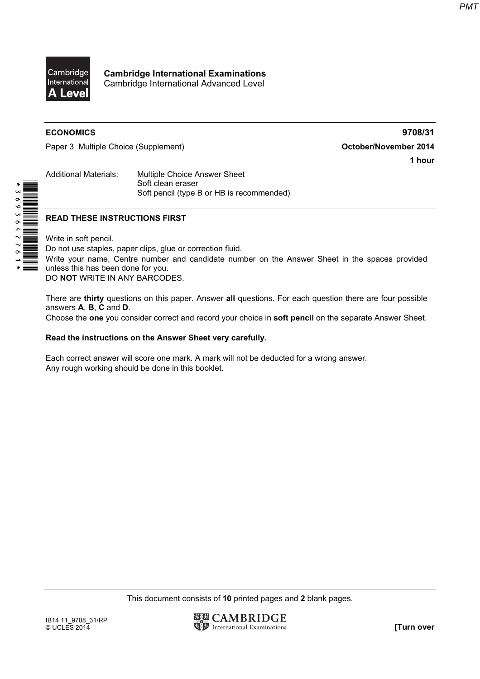

Cambridge International Examinations Cambridge International Advanced Level

#### ECONOMICS 9708/31

Paper 3 Multiple Choice (Supplement) **Community** Chapter 2014 **October/November 2014** 

1 hour

Additional Materials: Multiple Choice Answer Sheet Soft clean eraser Soft pencil (type B or HB is recommended)

## READ THESE INSTRUCTIONS FIRST

Write in soft pencil.

\*3693647761\*

Do not use staples, paper clips, glue or correction fluid. Write your name, Centre number and candidate number on the Answer Sheet in the spaces provided unless this has been done for you. DO NOT WRITE IN ANY BARCODES.

There are thirty questions on this paper. Answer all questions. For each question there are four possible answers A, B, C and D.

Choose the one you consider correct and record your choice in soft pencil on the separate Answer Sheet.

#### Read the instructions on the Answer Sheet very carefully.

Each correct answer will score one mark. A mark will not be deducted for a wrong answer. Any rough working should be done in this booklet.

This document consists of 10 printed pages and 2 blank pages.

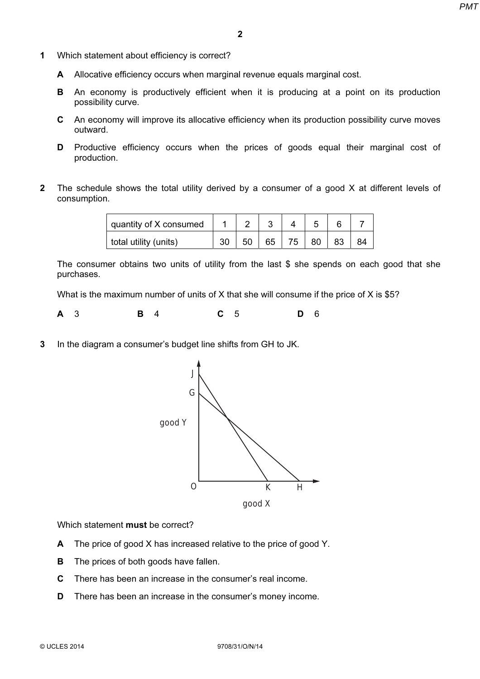- 1 Which statement about efficiency is correct?
	- A Allocative efficiency occurs when marginal revenue equals marginal cost.
	- B An economy is productively efficient when it is producing at a point on its production possibility curve.
	- C An economy will improve its allocative efficiency when its production possibility curve moves outward.
	- D Productive efficiency occurs when the prices of goods equal their marginal cost of production.
- 2 The schedule shows the total utility derived by a consumer of a good X at different levels of consumption.

| quantity of X consumed |  |    |    |    |  |
|------------------------|--|----|----|----|--|
| total utility (units)  |  | 65 | 75 | 80 |  |

The consumer obtains two units of utility from the last \$ she spends on each good that she purchases.

What is the maximum number of units of X that she will consume if the price of X is \$5?

**A** 3 **B** 4 **C** 5 **D** 6

3 In the diagram a consumer's budget line shifts from GH to JK.



Which statement must be correct?

- A The price of good X has increased relative to the price of good Y.
- **B** The prices of both goods have fallen.
- C There has been an increase in the consumer's real income.
- **D** There has been an increase in the consumer's money income.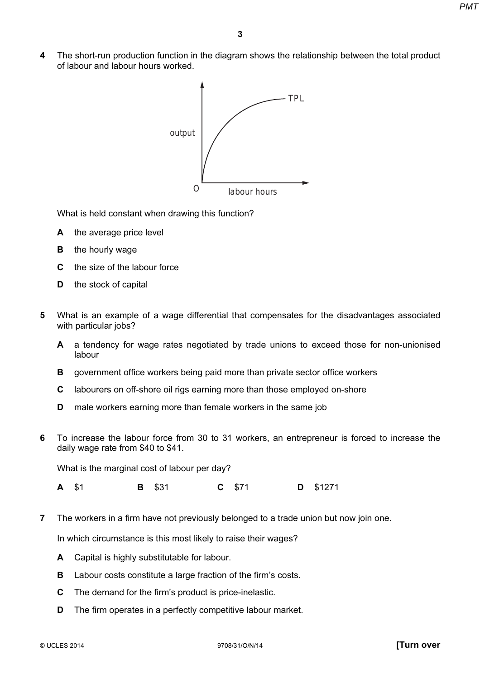4 The short-run production function in the diagram shows the relationship between the total product of labour and labour hours worked.



What is held constant when drawing this function?

- A the average price level
- **B** the hourly wage
- C the size of the labour force
- **D** the stock of capital
- 5 What is an example of a wage differential that compensates for the disadvantages associated with particular jobs?
	- A a tendency for wage rates negotiated by trade unions to exceed those for non-unionised labour
	- **B** government office workers being paid more than private sector office workers
	- C labourers on off-shore oil rigs earning more than those employed on-shore
	- **D** male workers earning more than female workers in the same job
- 6 To increase the labour force from 30 to 31 workers, an entrepreneur is forced to increase the daily wage rate from \$40 to \$41.

What is the marginal cost of labour per day?

A \$1 B \$31 C \$71 D \$1271

7 The workers in a firm have not previously belonged to a trade union but now join one.

In which circumstance is this most likely to raise their wages?

- A Capital is highly substitutable for labour.
- **B** Labour costs constitute a large fraction of the firm's costs.
- C The demand for the firm's product is price-inelastic.
- D The firm operates in a perfectly competitive labour market.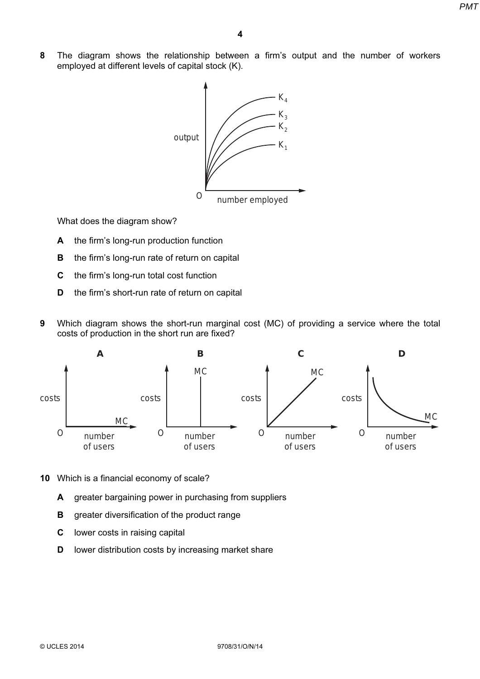8 The diagram shows the relationship between a firm's output and the number of workers employed at different levels of capital stock (K).



What does the diagram show?

- A the firm's long-run production function
- **B** the firm's long-run rate of return on capital
- C the firm's long-run total cost function
- D the firm's short-run rate of return on capital
- 9 Which diagram shows the short-run marginal cost (MC) of providing a service where the total costs of production in the short run are fixed?



- 10 Which is a financial economy of scale?
	- A greater bargaining power in purchasing from suppliers
	- **B** greater diversification of the product range
	- C lower costs in raising capital
	- **D** lower distribution costs by increasing market share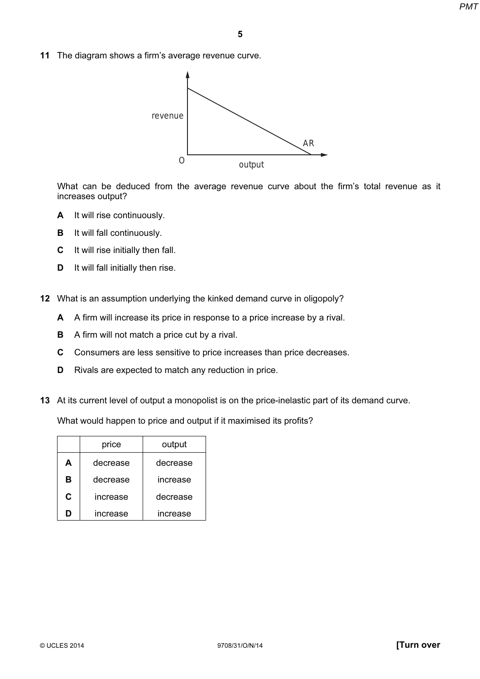11 The diagram shows a firm's average revenue curve.



What can be deduced from the average revenue curve about the firm's total revenue as it increases output?

- A It will rise continuously.
- **B** It will fall continuously.
- C It will rise initially then fall.
- D It will fall initially then rise.
- 12 What is an assumption underlying the kinked demand curve in oligopoly?
	- A A firm will increase its price in response to a price increase by a rival.
	- **B** A firm will not match a price cut by a rival.
	- C Consumers are less sensitive to price increases than price decreases.
	- D Rivals are expected to match any reduction in price.
- 13 At its current level of output a monopolist is on the price-inelastic part of its demand curve. What would happen to price and output if it maximised its profits?

|   | price    | output   |
|---|----------|----------|
| A | decrease | decrease |
| в | decrease | increase |
| C | increase | decrease |
|   | increase | increase |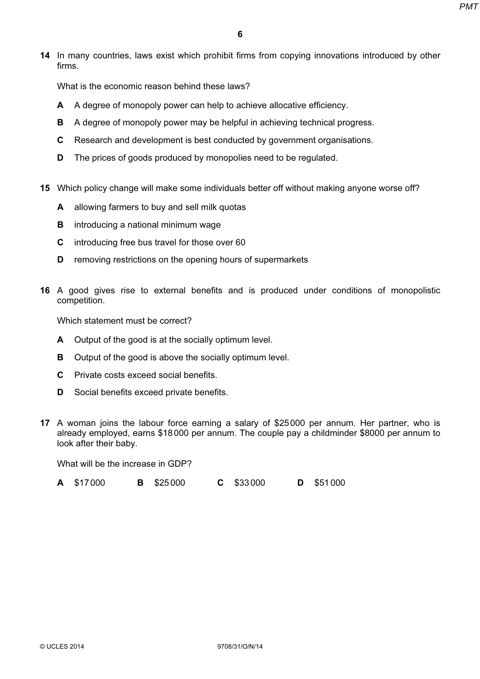14 In many countries, laws exist which prohibit firms from copying innovations introduced by other firms.

What is the economic reason behind these laws?

- A A degree of monopoly power can help to achieve allocative efficiency.
- B A degree of monopoly power may be helpful in achieving technical progress.
- C Research and development is best conducted by government organisations.
- D The prices of goods produced by monopolies need to be regulated.
- 15 Which policy change will make some individuals better off without making anyone worse off?
	- A allowing farmers to buy and sell milk quotas
	- **B** introducing a national minimum wage
	- C introducing free bus travel for those over 60
	- **D** removing restrictions on the opening hours of supermarkets
- 16 A good gives rise to external benefits and is produced under conditions of monopolistic competition.

Which statement must be correct?

- A Output of the good is at the socially optimum level.
- **B** Output of the good is above the socially optimum level.
- C Private costs exceed social benefits.
- **D** Social benefits exceed private benefits.
- 17 A woman joins the labour force earning a salary of \$25000 per annum. Her partner, who is already employed, earns \$18000 per annum. The couple pay a childminder \$8000 per annum to look after their baby.

What will be the increase in GDP?

|  | A \$17000 |  | <b>B</b> \$25000 |  | $C$ \$33000 |  | <b>D</b> \$51000 |
|--|-----------|--|------------------|--|-------------|--|------------------|
|--|-----------|--|------------------|--|-------------|--|------------------|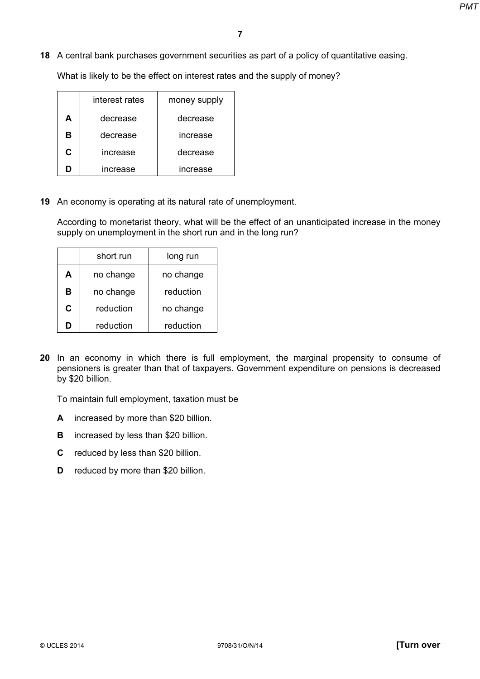18 A central bank purchases government securities as part of a policy of quantitative easing.

What is likely to be the effect on interest rates and the supply of money?

|   | interest rates | money supply |
|---|----------------|--------------|
| А | decrease       | decrease     |
| в | decrease       | increase     |
| C | increase       | decrease     |
|   | increase       | increase     |

19 An economy is operating at its natural rate of unemployment.

According to monetarist theory, what will be the effect of an unanticipated increase in the money supply on unemployment in the short run and in the long run?

|   | short run | long run  |  |
|---|-----------|-----------|--|
| А | no change | no change |  |
| в | no change | reduction |  |
| C | reduction | no change |  |
| П | reduction | reduction |  |

20 In an economy in which there is full employment, the marginal propensity to consume of pensioners is greater than that of taxpayers. Government expenditure on pensions is decreased by \$20 billion.

To maintain full employment, taxation must be

- A increased by more than \$20 billion.
- **B** increased by less than \$20 billion.
- C reduced by less than \$20 billion.
- **D** reduced by more than \$20 billion.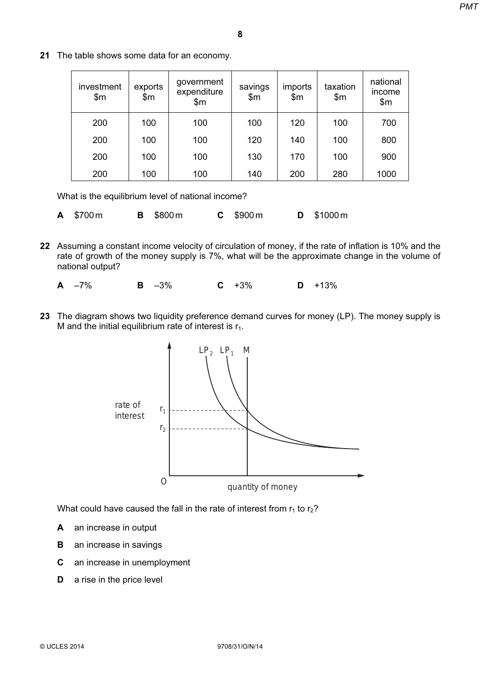21 The table shows some data for an economy.

| investment<br>$\mathsf{m}$ | exports<br>\$m | government<br>expenditure<br>\$m | savings<br>\$m\$ | imports<br>$\mathsf{m}$ | taxation<br>\$m\$ | national<br>income<br>\$m |
|----------------------------|----------------|----------------------------------|------------------|-------------------------|-------------------|---------------------------|
| 200                        | 100            | 100                              | 100              | 120                     | 100               | 700                       |
| 200                        | 100            | 100                              | 120              | 140                     | 100               | 800                       |
| 200                        | 100            | 100                              | 130              | 170                     | 100               | 900                       |
| 200                        | 100            | 100                              | 140              | 200                     | 280               | 1000                      |

What is the equilibrium level of national income?

|  | A \$700 m |  | <b>B</b> \$800 m |  | $C$ \$900 m |  | <b>D</b> \$1000 m |
|--|-----------|--|------------------|--|-------------|--|-------------------|
|--|-----------|--|------------------|--|-------------|--|-------------------|

- 22 Assuming a constant income velocity of circulation of money, if the rate of inflation is 10% and the rate of growth of the money supply is 7%, what will be the approximate change in the volume of national output?
	- A –7% B –3% C +3% D +13%
- 23 The diagram shows two liquidity preference demand curves for money (LP). The money supply is M and the initial equilibrium rate of interest is  $r_1$ .



What could have caused the fall in the rate of interest from  $r_1$  to  $r_2$ ?

- A an increase in output
- **B** an increase in savings
- C an increase in unemployment
- **D** a rise in the price level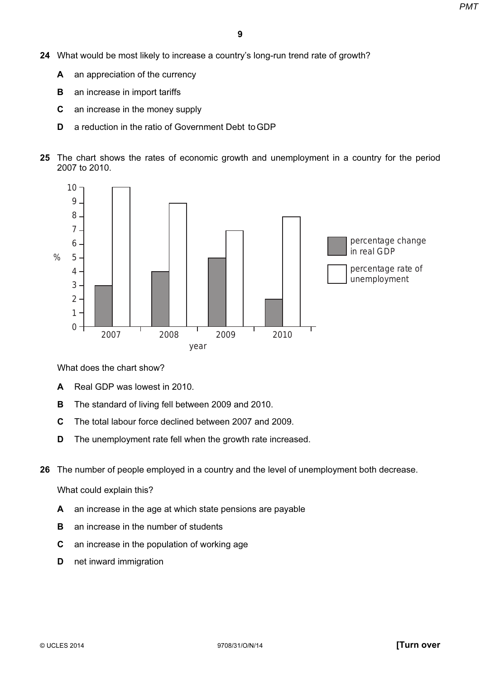- 24 What would be most likely to increase a country's long-run trend rate of growth?
	- A an appreciation of the currency
	- **B** an increase in import tariffs
	- C an increase in the money supply
	- D a reduction in the ratio of Government Debt toGDP

### 25 The chart shows the rates of economic growth and unemployment in a country for the period 2007 to 2010.



What does the chart show?

- A Real GDP was lowest in 2010.
- B The standard of living fell between 2009 and 2010.
- C The total labour force declined between 2007 and 2009.
- D The unemployment rate fell when the growth rate increased.
- 26 The number of people employed in a country and the level of unemployment both decrease.

What could explain this?

- A an increase in the age at which state pensions are payable
- **B** an increase in the number of students
- C an increase in the population of working age
- D net inward immigration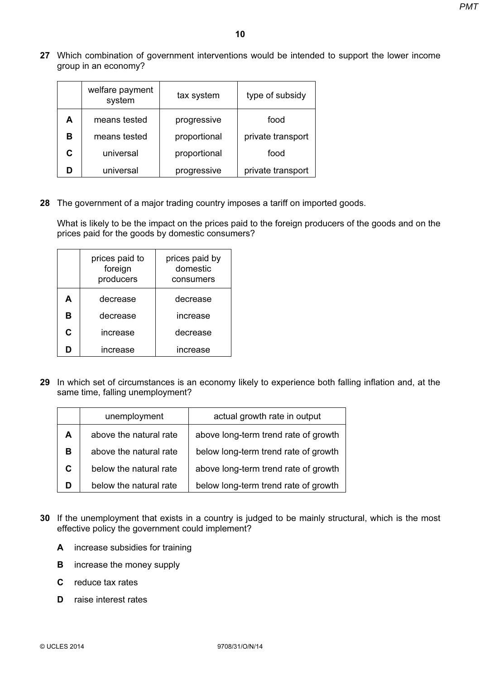27 Which combination of government interventions would be intended to support the lower income group in an economy?

|   | welfare payment<br>system | tax system   | type of subsidy   |
|---|---------------------------|--------------|-------------------|
| A | means tested              | progressive  | food              |
| в | means tested              | proportional | private transport |
| C | universal                 | proportional | food              |
|   | universal                 | progressive  | private transport |

28 The government of a major trading country imposes a tariff on imported goods.

What is likely to be the impact on the prices paid to the foreign producers of the goods and on the prices paid for the goods by domestic consumers?

|   | prices paid to<br>foreign<br>producers | prices paid by<br>domestic<br>consumers |
|---|----------------------------------------|-----------------------------------------|
| A | decrease                               | decrease                                |
| в | decrease                               | increase                                |
| C | increase                               | decrease                                |
| n | increase                               | increase                                |

29 In which set of circumstances is an economy likely to experience both falling inflation and, at the same time, falling unemployment?

|   | unemployment           | actual growth rate in output         |
|---|------------------------|--------------------------------------|
| A | above the natural rate | above long-term trend rate of growth |
| в | above the natural rate | below long-term trend rate of growth |
| C | below the natural rate | above long-term trend rate of growth |
| D | below the natural rate | below long-term trend rate of growth |

- 30 If the unemployment that exists in a country is judged to be mainly structural, which is the most effective policy the government could implement?
	- A increase subsidies for training
	- **B** increase the money supply
	- C reduce tax rates
	- D raise interest rates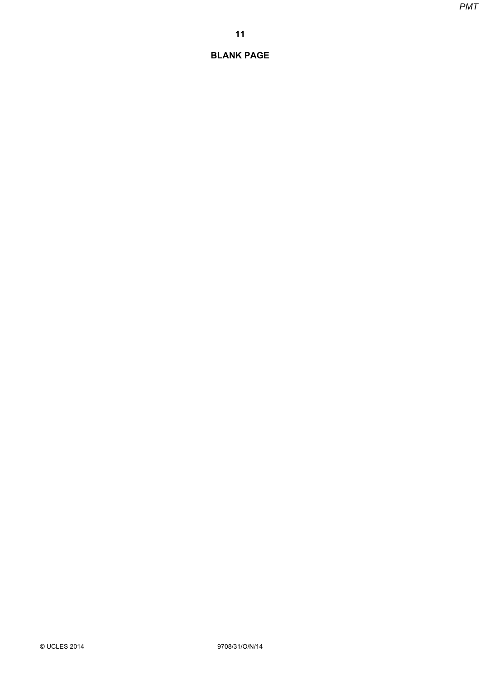# 11

# BLANK PAGE